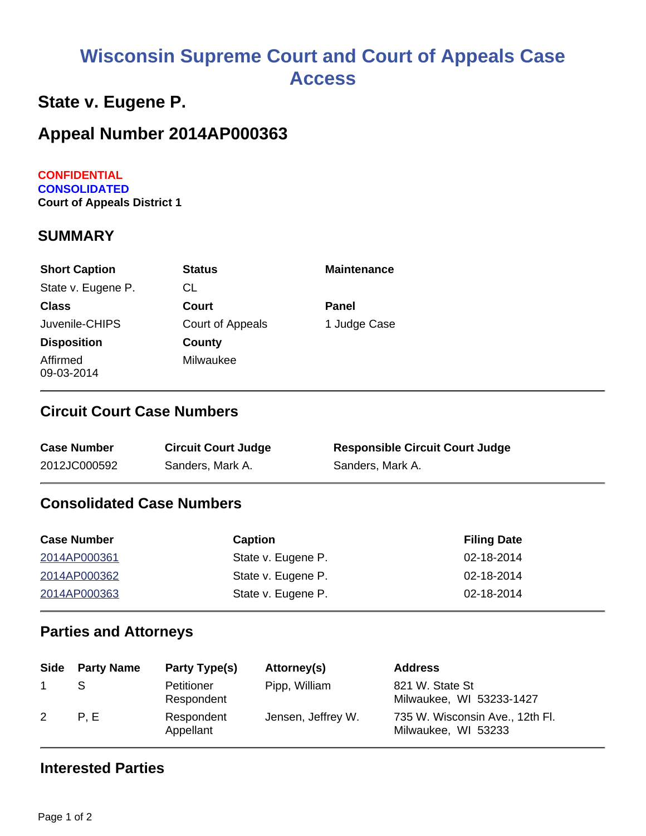# **Wisconsin Supreme Court and Court of Appeals Case Access**

# **State v. Eugene P.**

# **Appeal Number 2014AP000363**

#### **CONFIDENTIAL CONSOLIDATED Court of Appeals District 1**

#### **SUMMARY**

| <b>Short Caption</b>   | <b>Status</b>    | <b>Maintenance</b> |
|------------------------|------------------|--------------------|
| State v. Eugene P.     | СL               |                    |
| <b>Class</b>           | Court            | Panel              |
| Juvenile-CHIPS         | Court of Appeals | 1 Judge Case       |
| <b>Disposition</b>     | County           |                    |
| Affirmed<br>09-03-2014 | Milwaukee        |                    |

### **Circuit Court Case Numbers**

| <b>Case Number</b> | <b>Circuit Court Judge</b> | <b>Responsible Circuit Court Judge</b> |
|--------------------|----------------------------|----------------------------------------|
| 2012JC000592       | Sanders, Mark A.           | Sanders, Mark A.                       |

### **Consolidated Case Numbers**

| <b>Case Number</b> | <b>Caption</b>     | <b>Filing Date</b> |
|--------------------|--------------------|--------------------|
| 2014AP000361       | State v. Eugene P. | 02-18-2014         |
| 2014AP000362       | State v. Eugene P. | 02-18-2014         |
| 2014AP000363       | State v. Eugene P. | 02-18-2014         |

#### **Parties and Attorneys**

|   | Side Party Name | Party Type(s)            | Attorney(s)        | <b>Address</b>                                         |
|---|-----------------|--------------------------|--------------------|--------------------------------------------------------|
|   |                 | Petitioner<br>Respondent | Pipp, William      | 821 W. State St<br>Milwaukee, WI 53233-1427            |
| 2 | P.E             | Respondent<br>Appellant  | Jensen, Jeffrey W. | 735 W. Wisconsin Ave., 12th Fl.<br>Milwaukee, WI 53233 |

#### **Interested Parties**